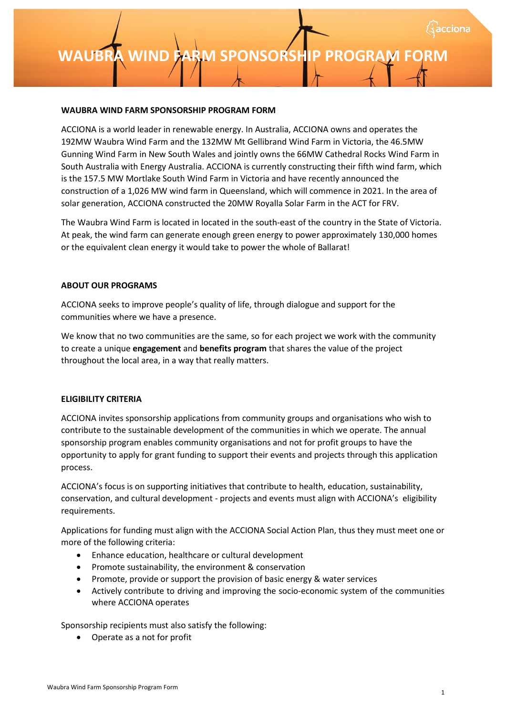# **[INSERT PROJECT NAME] S WAUBRA WIND FARM SPONSOR PONSORSHIP SHIP PROGRAM FORM PROGRAM FORM**

#### **WAUBRA WIND FARM SPONSORSHIP PROGRAM FORM**

ACCIONA is a world leader in renewable energy. In Australia, ACCIONA owns and operates the 192MW Waubra Wind Farm and the 132MW Mt Gellibrand Wind Farm in Victoria, the 46.5MW Gunning Wind Farm in New South Wales and jointly owns the 66MW Cathedral Rocks Wind Farm in South Australia with Energy Australia. ACCIONA is currently constructing their fifth wind farm, which is the 157.5 MW Mortlake South Wind Farm in Victoria and have recently announced the construction of a 1,026 MW wind farm in Queensland, which will commence in 2021. In the area of solar generation, ACCIONA constructed the 20MW Royalla Solar Farm in the ACT for FRV.

The Waubra Wind Farm is located in located in the south-east of the country in the State of Victoria. At peak, the wind farm can generate enough green energy to power approximately 130,000 homes or the equivalent clean energy it would take to power the whole of Ballarat!

#### **ABOUT OUR PROGRAMS**

ACCIONA seeks to improve people's quality of life, through dialogue and support for the communities where we have a presence.

We know that no two communities are the same, so for each project we work with the community to create a unique **engagement** and **benefits program** that shares the value of the project throughout the local area, in a way that really matters.

# **ELIGIBILITY CRITERIA**

ACCIONA invites sponsorship applications from community groups and organisations who wish to contribute to the sustainable development of the communities in which we operate. The annual sponsorship program enables community organisations and not for profit groups to have the opportunity to apply for grant funding to support their events and projects through this application process.

ACCIONA's focus is on supporting initiatives that contribute to health, education, sustainability, conservation, and cultural development - projects and events must align with ACCIONA's eligibility requirements.

Applications for funding must align with the ACCIONA Social Action Plan, thus they must meet one or more of the following criteria:

- Enhance education, healthcare or cultural development
- Promote sustainability, the environment & conservation
- Promote, provide or support the provision of basic energy & water services
- Actively contribute to driving and improving the socio-economic system of the communities where ACCIONA operates

Sponsorship recipients must also satisfy the following:

• Operate as a not for profit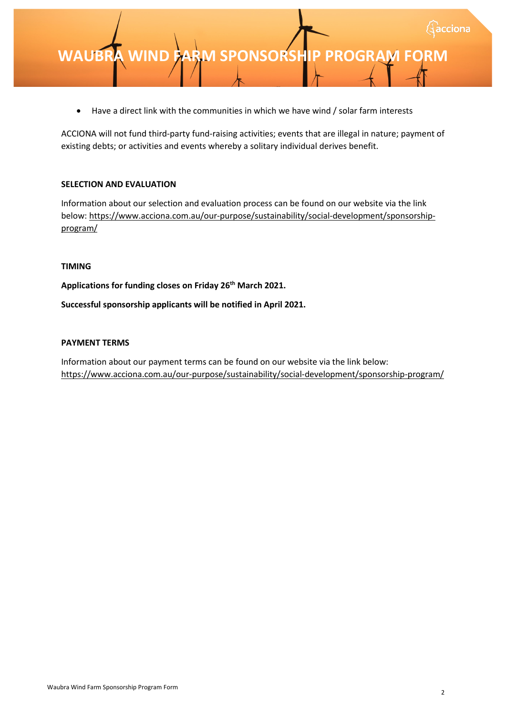• Have a direct link with the communities in which we have wind / solar farm interests

ACCIONA will not fund third-party fund-raising activities; events that are illegal in nature; payment of existing debts; or activities and events whereby a solitary individual derives benefit.

# **SELECTION AND EVALUATION**

Information about our selection and evaluation process can be found on our website via the link [below: https://www.acciona.com.au/our-purpose/sustainability/social-development/sponsorship](https://www.acciona.com.au/our-purpose/sustainability/social-development/sponsorship-program/)program/

# **TIMING**

**Applications for funding closes on Friday 26th March 2021.**

**Successful sponsorship applicants will be notified in April 2021.**

# **PAYMENT TERMS**

Information about our payment terms can be found on our website via the link below: <https://www.acciona.com.au/our-purpose/sustainability/social-development/sponsorship-program/>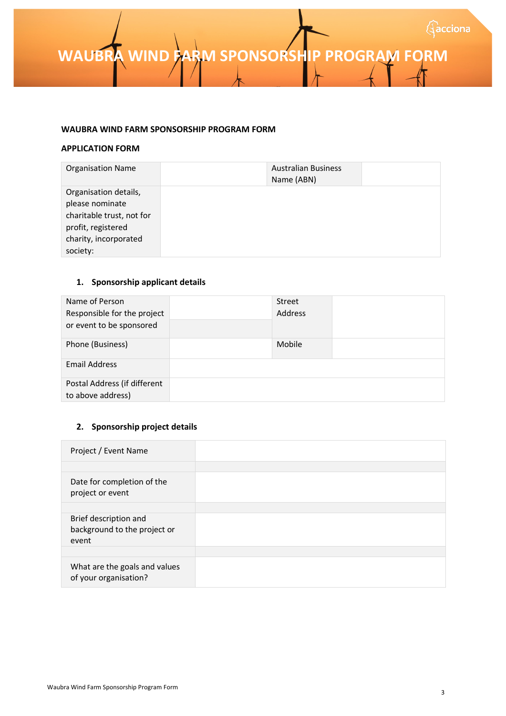**WAUBRA WIND FARM SPONSORSHIP PROGRAM FORM** 

#### **WAUBRA WIND FARM SPONSORSHIP PROGRAM FORM**

#### **APPLICATION FORM**

| <b>Organisation Name</b>  | <b>Australian Business</b><br>Name (ABN) |  |
|---------------------------|------------------------------------------|--|
| Organisation details,     |                                          |  |
| please nominate           |                                          |  |
| charitable trust, not for |                                          |  |
| profit, registered        |                                          |  |
| charity, incorporated     |                                          |  |
| society:                  |                                          |  |

# **1. Sponsorship applicant details**

| Name of Person<br>Responsible for the project<br>or event to be sponsored | Street<br>Address |  |
|---------------------------------------------------------------------------|-------------------|--|
| Phone (Business)                                                          | Mobile            |  |
| <b>Email Address</b>                                                      |                   |  |
| Postal Address (if different<br>to above address)                         |                   |  |

# **2. Sponsorship project details**

| Project / Event Name                                           |  |
|----------------------------------------------------------------|--|
|                                                                |  |
| Date for completion of the<br>project or event                 |  |
|                                                                |  |
| Brief description and<br>background to the project or<br>event |  |
|                                                                |  |
| What are the goals and values<br>of your organisation?         |  |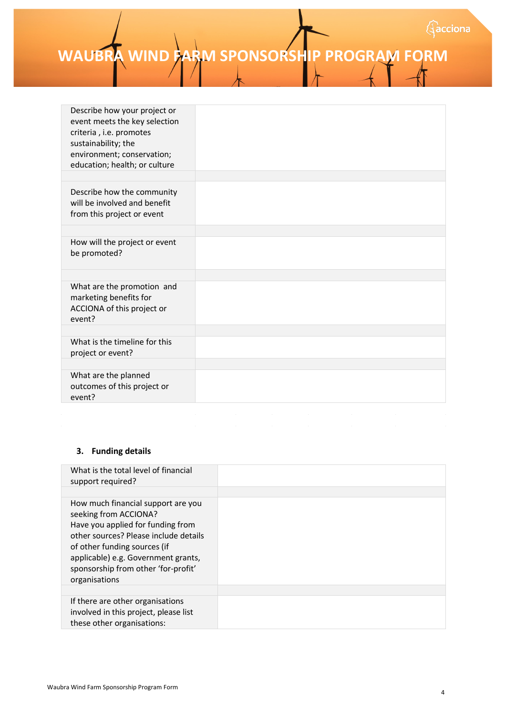**EXAMPLE ARM SPONSORSHIP PROGRAM FORM** 

| Describe how your project or<br>event meets the key selection<br>criteria, i.e. promotes<br>sustainability; the<br>environment; conservation;<br>education; health; or culture |  |
|--------------------------------------------------------------------------------------------------------------------------------------------------------------------------------|--|
|                                                                                                                                                                                |  |
| Describe how the community<br>will be involved and benefit<br>from this project or event                                                                                       |  |
|                                                                                                                                                                                |  |
| How will the project or event<br>be promoted?                                                                                                                                  |  |
|                                                                                                                                                                                |  |
|                                                                                                                                                                                |  |
| What are the promotion and<br>marketing benefits for<br>ACCIONA of this project or<br>event?                                                                                   |  |
|                                                                                                                                                                                |  |
| What is the timeline for this<br>project or event?                                                                                                                             |  |
|                                                                                                                                                                                |  |
| What are the planned<br>outcomes of this project or<br>event?                                                                                                                  |  |
|                                                                                                                                                                                |  |

#### **3. Funding details**

| What is the total level of financial<br>support required?                                                                                                                                                                                                                |  |
|--------------------------------------------------------------------------------------------------------------------------------------------------------------------------------------------------------------------------------------------------------------------------|--|
| How much financial support are you<br>seeking from ACCIONA?<br>Have you applied for funding from<br>other sources? Please include details<br>of other funding sources (if<br>applicable) e.g. Government grants,<br>sponsorship from other 'for-profit'<br>organisations |  |
| If there are other organisations<br>involved in this project, please list<br>these other organisations:                                                                                                                                                                  |  |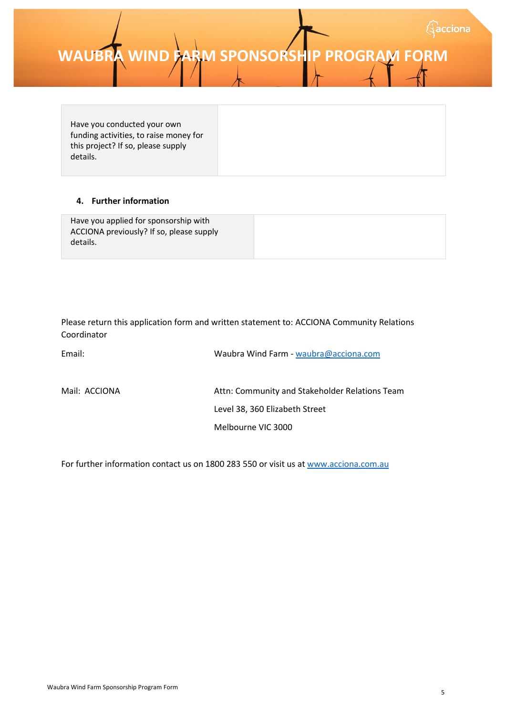**WAUBRA WIND FARM SPONSORSHIP PROGRAM FO** 

Have you conducted your own funding activities, to raise money for this project? If so, please supply details.

# **4. Further information**

| Have you applied for sponsorship with<br>ACCIONA previously? If so, please supply |  |
|-----------------------------------------------------------------------------------|--|
| details.                                                                          |  |

Please return this application form and written statement to: ACCIONA Community Relations Coordinator

| Email:        | Waubra Wind Farm - waubra@acciona.com          |
|---------------|------------------------------------------------|
| Mail: ACCIONA | Attn: Community and Stakeholder Relations Team |
|               | Level 38, 360 Elizabeth Street                 |
|               | Melbourne VIC 3000                             |

For further information contact us on 1800 283 550 or visit us a[t www.acciona.com.au](http://www.acciona.com.au/)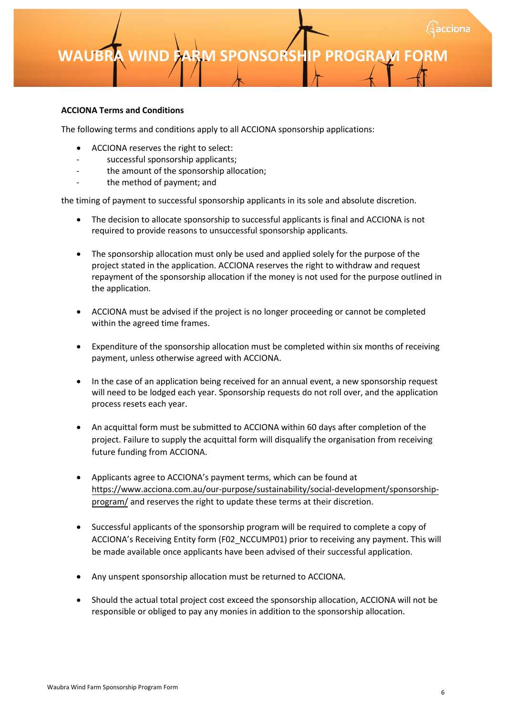**[INSERT PROJECT NAME] S WAUBRA WIND FARM SPONSOR PONSORSHIP SHIP PROGRAM FORM PROGRAM FORM**

#### **ACCIONA Terms and Conditions**

The following terms and conditions apply to all ACCIONA sponsorship applications:

- ACCIONA reserves the right to select:
- successful sponsorship applicants;
- the amount of the sponsorship allocation;
- the method of payment; and

the timing of payment to successful sponsorship applicants in its sole and absolute discretion.

- The decision to allocate sponsorship to successful applicants is final and ACCIONA is not required to provide reasons to unsuccessful sponsorship applicants.
- The sponsorship allocation must only be used and applied solely for the purpose of the project stated in the application. ACCIONA reserves the right to withdraw and request repayment of the sponsorship allocation if the money is not used for the purpose outlined in the application.
- ACCIONA must be advised if the project is no longer proceeding or cannot be completed within the agreed time frames.
- Expenditure of the sponsorship allocation must be completed within six months of receiving payment, unless otherwise agreed with ACCIONA.
- In the case of an application being received for an annual event, a new sponsorship request will need to be lodged each year. Sponsorship requests do not roll over, and the application process resets each year.
- An acquittal form must be submitted to ACCIONA within 60 days after completion of the project. Failure to supply the acquittal form will disqualify the organisation from receiving future funding from ACCIONA.
- Applicants agree to ACCIONA's payment terms, which can be found at [https://www.acciona.com.au/our-purpose/sustainability/social-development/sponsorship](https://www.acciona.com.au/our-purpose/sustainability/social-development/sponsorship-program/)program/ and reserves the right to update these terms at their discretion.
- Successful applicants of the sponsorship program will be required to complete a copy of ACCIONA's Receiving Entity form (F02\_NCCUMP01) prior to receiving any payment. This will be made available once applicants have been advised of their successful application.
- Any unspent sponsorship allocation must be returned to ACCIONA.
- Should the actual total project cost exceed the sponsorship allocation, ACCIONA will not be responsible or obliged to pay any monies in addition to the sponsorship allocation.